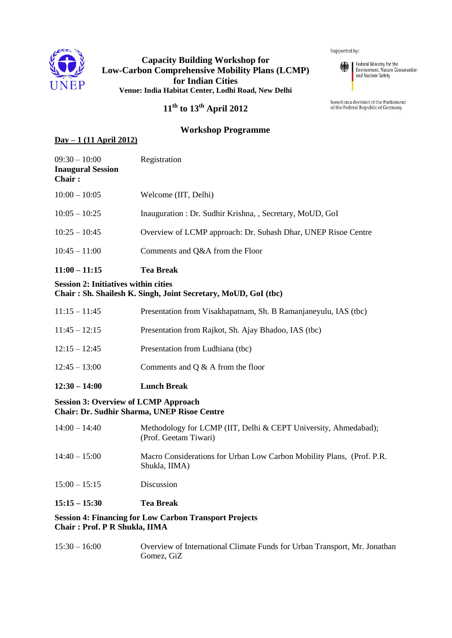

# **Capacity Building Workshop for Low-Carbon Comprehensive Mobility Plans (LCMP) for Indian Cities Venue: India Habitat Center, Lodhi Road, New Delhi**

Supported by:



Federal Ministry for the Environment, Nature Conservation<br>and Nuclear Safety

based on a decision of the Parliament of the Federal Republic of Germany

# **11 th to 13th April 2012**

# **Workshop Programme**

### **Day – 1 (11 April 2012)**

| $11:00 - 11:15$                                              | <b>Tea Break</b>                                              |
|--------------------------------------------------------------|---------------------------------------------------------------|
| $10:45 - 11:00$                                              | Comments and Q&A from the Floor                               |
| $10:25 - 10:45$                                              | Overview of LCMP approach: Dr. Subash Dhar, UNEP Risoe Centre |
| $10:05 - 10:25$                                              | Inauguration : Dr. Sudhir Krishna, , Secretary, MoUD, GoI     |
| $10:00 - 10:05$                                              | Welcome (IIT, Delhi)                                          |
| $09:30 - 10:00$<br><b>Inaugural Session</b><br><b>Chair:</b> | Registration                                                  |

### **Session 2: Initiatives within cities Chair : Sh. Shailesh K. Singh, Joint Secretary, MoUD, GoI (tbc)**

| $12:30 - 14:00$ | <b>Lunch Break</b>                                              |
|-----------------|-----------------------------------------------------------------|
| $12:45 - 13:00$ | Comments and $Q & A$ from the floor                             |
| $12:15 - 12:45$ | Presentation from Ludhiana (tbc)                                |
| $11:45 - 12:15$ | Presentation from Rajkot, Sh. Ajay Bhadoo, IAS (tbc)            |
| $11:15 - 11:45$ | Presentation from Visakhapatnam, Sh. B Ramanjaneyulu, IAS (tbc) |

#### **Session 3: Overview of LCMP Approach Chair: Dr. Sudhir Sharma, UNEP Risoe Centre**

| $15:15 - 15:30$ | <b>Tea Break</b>                                                                         |
|-----------------|------------------------------------------------------------------------------------------|
| $15:00 - 15:15$ | Discussion                                                                               |
| $14:40 - 15:00$ | Macro Considerations for Urban Low Carbon Mobility Plans, (Prof. P.R.)<br>Shukla, IIMA)  |
| $14:00 - 14:40$ | Methodology for LCMP (IIT, Delhi & CEPT University, Ahmedabad);<br>(Prof. Geetam Tiwari) |

### **Session 4: Financing for Low Carbon Transport Projects Chair : Prof. P R Shukla, IIMA**

15:30 – 16:00 Overview of International Climate Funds for Urban Transport, Mr. Jonathan Gomez, GiZ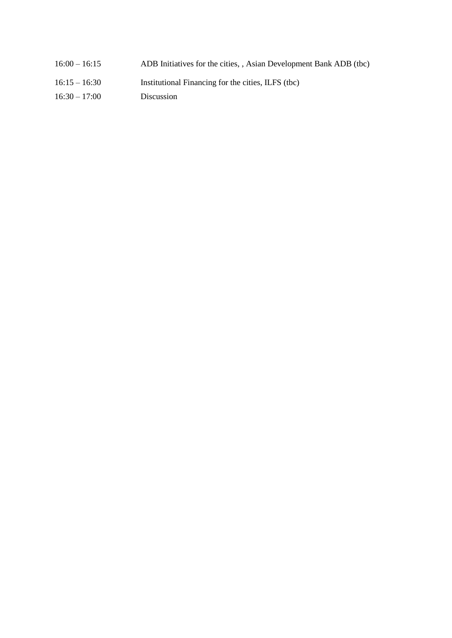- 16:00 16:15 ADB Initiatives for the cities, , Asian Development Bank ADB (tbc) 16:15 – 16:30 Institutional Financing for the cities, ILFS (tbc)
- 16:30 17:00 Discussion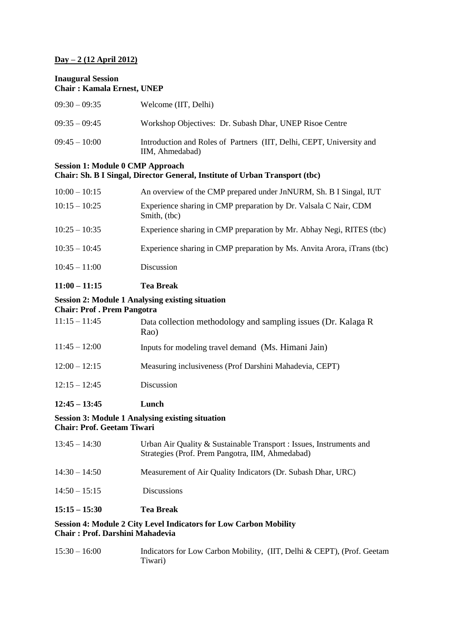### **Day – 2 (12 April 2012)**

#### **Inaugural Session Chair : Kamala Ernest, UNEP**

| $09:30-09:35$   | Welcome (IIT, Delhi)                                                                    |
|-----------------|-----------------------------------------------------------------------------------------|
| $09:35-09:45$   | Workshop Objectives: Dr. Subash Dhar, UNEP Risoe Centre                                 |
| $09:45 - 10:00$ | Introduction and Roles of Partners (IIT, Delhi, CEPT, University and<br>IIM, Ahmedabad) |

#### **Session 1: Module 0 CMP Approach Chair: Sh. B I Singal, Director General, Institute of Urban Transport (tbc)**

| $10:00 - 10:15$ | An overview of the CMP prepared under JnNURM, Sh. B I Singal, IUT                |
|-----------------|----------------------------------------------------------------------------------|
| $10:15 - 10:25$ | Experience sharing in CMP preparation by Dr. Valsala C Nair, CDM<br>Smith, (tbc) |
| $10:25 - 10:35$ | Experience sharing in CMP preparation by Mr. Abhay Negi, RITES (tbc)             |
| $10:35 - 10:45$ | Experience sharing in CMP preparation by Ms. Anvita Arora, iTrans (tbc)          |
| $10:45 - 11:00$ | <b>Discussion</b>                                                                |
|                 |                                                                                  |

# **11:00 – 11:15 Tea Break**

#### **Session 2: Module 1 Analysing existing situation**

#### **Chair: Prof . Prem Pangotra**

| $11:15 - 11:45$ | Data collection methodology and sampling issues (Dr. Kalaga R<br>Rao) |
|-----------------|-----------------------------------------------------------------------|
| $11:45 - 12:00$ | Inputs for modeling travel demand (Ms. Himani Jain)                   |
| $12:00 - 12:15$ | Measuring inclusiveness (Prof Darshini Mahadevia, CEPT)               |
| $12:15 - 12:45$ | Discussion                                                            |
|                 |                                                                       |

### **12:45 – 13:45 Lunch**

### **Session 3: Module 1 Analysing existing situation Chair: Prof. Geetam Tiwari**

| Session 4. Module 2 City Level Indicators for Levy Corpor Mobility |                                                                                                                         |
|--------------------------------------------------------------------|-------------------------------------------------------------------------------------------------------------------------|
| $15:15 - 15:30$                                                    | <b>Tea Break</b>                                                                                                        |
| $14:50 - 15:15$                                                    | <b>Discussions</b>                                                                                                      |
| $14:30 - 14:50$                                                    | Measurement of Air Quality Indicators (Dr. Subash Dhar, URC)                                                            |
| $13:45 - 14:30$                                                    | Urban Air Quality & Sustainable Transport : Issues, Instruments and<br>Strategies (Prof. Prem Pangotra, IIM, Ahmedabad) |

#### **Session 4: Module 2 City Level Indicators for Low Carbon Mobility Chair : Prof. Darshini Mahadevia**

| $15:30 - 16:00$ | Indicators for Low Carbon Mobility, (IIT, Delhi & CEPT), (Prof. Geetam |  |
|-----------------|------------------------------------------------------------------------|--|
|                 | Tiwari)                                                                |  |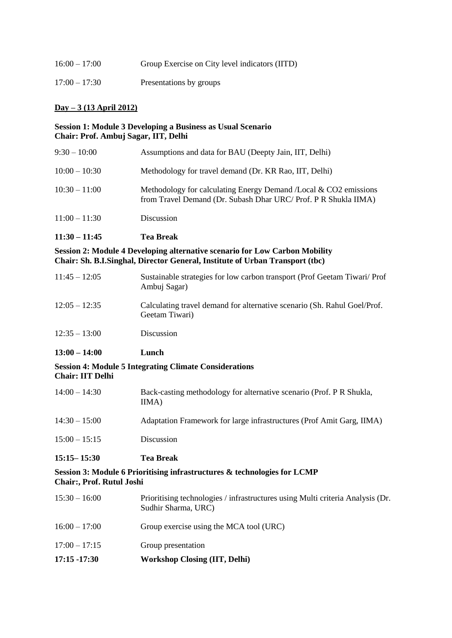| $16:00 - 17:00$ | Group Exercise on City level indicators (IITD) |
|-----------------|------------------------------------------------|
| $17:00 - 17:30$ | Presentations by groups                        |

### **Day – 3 (13 April 2012)**

#### **Session 1: Module 3 Developing a Business as Usual Scenario Chair: Prof. Ambuj Sagar, IIT, Delhi**

| $11:30 - 11:45$ | <b>Tea Break</b>                                                                                                                    |
|-----------------|-------------------------------------------------------------------------------------------------------------------------------------|
| $11:00 - 11:30$ | Discussion                                                                                                                          |
| $10:30 - 11:00$ | Methodology for calculating Energy Demand /Local & CO2 emissions<br>from Travel Demand (Dr. Subash Dhar URC/ Prof. P R Shukla IIMA) |
| $10:00 - 10:30$ | Methodology for travel demand (Dr. KR Rao, IIT, Delhi)                                                                              |
| $9:30 - 10:00$  | Assumptions and data for BAU (Deepty Jain, IIT, Delhi)                                                                              |

### **Session 2: Module 4 Developing alternative scenario for Low Carbon Mobility Chair: Sh. B.I.Singhal, Director General, Institute of Urban Transport (tbc)**

| $11:45 - 12:05$ | Sustainable strategies for low carbon transport (Prof Geetam Tiwari/Prof<br>Ambuj Sagar)   |
|-----------------|--------------------------------------------------------------------------------------------|
| $12:05 - 12:35$ | Calculating travel demand for alternative scenario (Sh. Rahul Goel/Prof.<br>Geetam Tiwari) |
| $12:35 - 13:00$ | Discussion                                                                                 |

# **13:00 – 14:00 Lunch**

#### **Session 4: Module 5 Integrating Climate Considerations Chair: IIT Delhi**

| $15:15 - 15:30$ | <b>Tea Break</b>                                                              |
|-----------------|-------------------------------------------------------------------------------|
| $15:00 - 15:15$ | Discussion                                                                    |
| $14:30 - 15:00$ | Adaptation Framework for large infrastructures (Prof Amit Garg, IIMA)         |
| $14:00 - 14:30$ | Back-casting methodology for alternative scenario (Prof. P R Shukla,<br>IIMA) |

### **Session 3: Module 6 Prioritising infrastructures & technologies for LCMP Chair:, Prof. Rutul Joshi**

| $17:15 - 17:30$ | <b>Workshop Closing (IIT, Delhi)</b>                                                                  |
|-----------------|-------------------------------------------------------------------------------------------------------|
| $17:00 - 17:15$ | Group presentation                                                                                    |
| $16:00 - 17:00$ | Group exercise using the MCA tool (URC)                                                               |
| $15:30 - 16:00$ | Prioritising technologies / infrastructures using Multi criteria Analysis (Dr.<br>Sudhir Sharma, URC) |